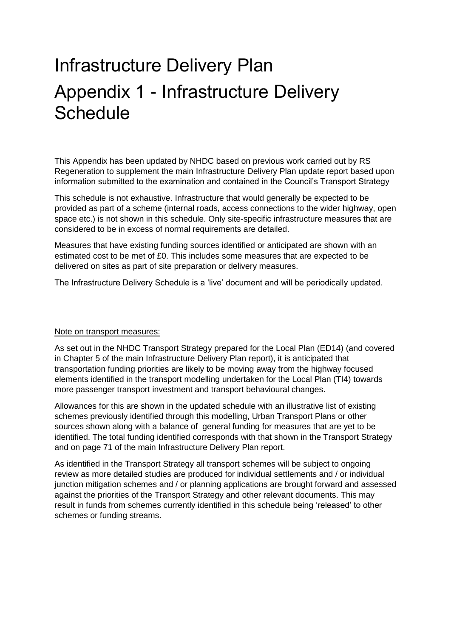## Infrastructure Delivery Plan Appendix 1 - Infrastructure Delivery **Schedule**

This Appendix has been updated by NHDC based on previous work carried out by RS Regeneration to supplement the main Infrastructure Delivery Plan update report based upon information submitted to the examination and contained in the Council's Transport Strategy

This schedule is not exhaustive. Infrastructure that would generally be expected to be provided as part of a scheme (internal roads, access connections to the wider highway, open space etc.) is not shown in this schedule. Only site-specific infrastructure measures that are considered to be in excess of normal requirements are detailed.

Measures that have existing funding sources identified or anticipated are shown with an estimated cost to be met of £0. This includes some measures that are expected to be delivered on sites as part of site preparation or delivery measures.

The Infrastructure Delivery Schedule is a 'live' document and will be periodically updated.

## Note on transport measures:

As set out in the NHDC Transport Strategy prepared for the Local Plan (ED14) (and covered in Chapter 5 of the main Infrastructure Delivery Plan report), it is anticipated that transportation funding priorities are likely to be moving away from the highway focused elements identified in the transport modelling undertaken for the Local Plan (TI4) towards more passenger transport investment and transport behavioural changes.

Allowances for this are shown in the updated schedule with an illustrative list of existing schemes previously identified through this modelling, Urban Transport Plans or other sources shown along with a balance of general funding for measures that are yet to be identified. The total funding identified corresponds with that shown in the Transport Strategy and on page 71 of the main Infrastructure Delivery Plan report.

As identified in the Transport Strategy all transport schemes will be subject to ongoing review as more detailed studies are produced for individual settlements and / or individual junction mitigation schemes and / or planning applications are brought forward and assessed against the priorities of the Transport Strategy and other relevant documents. This may result in funds from schemes currently identified in this schedule being 'released' to other schemes or funding streams.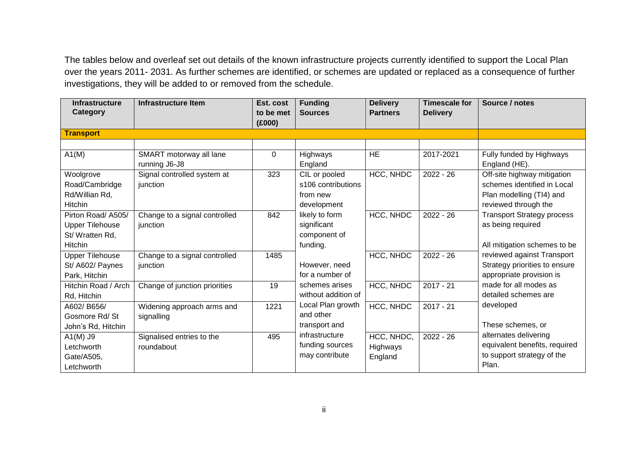The tables below and overleaf set out details of the known infrastructure projects currently identified to support the Local Plan over the years 2011- 2031. As further schemes are identified, or schemes are updated or replaced as a consequence of further investigations, they will be added to or removed from the schedule.

| <b>Infrastructure</b><br>Category | <b>Infrastructure Item</b>    | Est. cost<br>to be met<br>(E000) | <b>Funding</b><br><b>Sources</b> | <b>Delivery</b><br><b>Partners</b> | <b>Timescale for</b><br><b>Delivery</b> | Source / notes                    |
|-----------------------------------|-------------------------------|----------------------------------|----------------------------------|------------------------------------|-----------------------------------------|-----------------------------------|
| <b>Transport</b>                  |                               |                                  |                                  |                                    |                                         |                                   |
|                                   |                               |                                  |                                  |                                    |                                         |                                   |
| A1(M)                             | SMART motorway all lane       | 0                                | Highways                         | <b>HE</b>                          | 2017-2021                               | Fully funded by Highways          |
|                                   | running J6-J8                 |                                  | England                          |                                    |                                         | England (HE).                     |
| Woolgrove                         | Signal controlled system at   | 323                              | CIL or pooled                    | HCC, NHDC                          | $2022 - 26$                             | Off-site highway mitigation       |
| Road/Cambridge                    | junction                      |                                  | s106 contributions               |                                    |                                         | schemes identified in Local       |
| Rd/Willian Rd,                    |                               |                                  | from new                         |                                    |                                         | Plan modelling (TI4) and          |
| Hitchin                           |                               |                                  | development                      |                                    |                                         | reviewed through the              |
| Pirton Road/ A505/                | Change to a signal controlled | 842                              | likely to form                   | HCC, NHDC                          | $2022 - 26$                             | <b>Transport Strategy process</b> |
| <b>Upper Tilehouse</b>            | junction                      |                                  | significant                      |                                    |                                         | as being required                 |
| St/Wratten Rd,                    |                               |                                  | component of                     |                                    |                                         |                                   |
| Hitchin                           |                               |                                  | funding.                         |                                    |                                         | All mitigation schemes to be      |
| <b>Upper Tilehouse</b>            | Change to a signal controlled | 1485                             |                                  | HCC, NHDC                          | $2022 - 26$                             | reviewed against Transport        |
| St/ A602/ Paynes                  | junction                      |                                  | However, need                    |                                    |                                         | Strategy priorities to ensure     |
| Park, Hitchin                     |                               |                                  | for a number of                  |                                    |                                         | appropriate provision is          |
| Hitchin Road / Arch               | Change of junction priorities | 19                               | schemes arises                   | HCC, NHDC                          | $2017 - 21$                             | made for all modes as             |
| Rd, Hitchin                       |                               |                                  | without addition of              |                                    |                                         | detailed schemes are              |
| A602/B656/                        | Widening approach arms and    | 1221                             | Local Plan growth                | HCC, NHDC                          | $2017 - 21$                             | developed                         |
| Gosmore Rd/St                     | signalling                    |                                  | and other                        |                                    |                                         |                                   |
| John's Rd, Hitchin                |                               |                                  | transport and                    |                                    |                                         | These schemes, or                 |
| $A1(M)$ J9                        | Signalised entries to the     | 495                              | infrastructure                   | HCC, NHDC,                         | $2022 - 26$                             | alternates delivering             |
| Letchworth                        | roundabout                    |                                  | funding sources                  | Highways                           |                                         | equivalent benefits, required     |
| Gate/A505,                        |                               |                                  | may contribute                   | England                            |                                         | to support strategy of the        |
| Letchworth                        |                               |                                  |                                  |                                    |                                         | Plan.                             |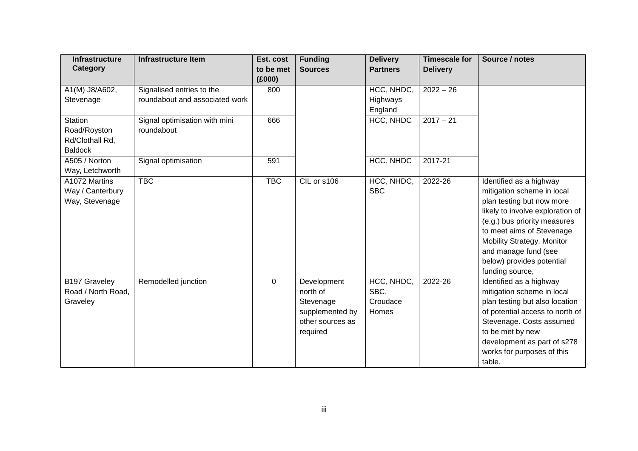| <b>Infrastructure Item</b><br><b>Infrastructure</b><br>Category | Est. cost<br>to be met | <b>Funding</b><br><b>Sources</b> | <b>Delivery</b><br><b>Partners</b> | <b>Timescale for</b><br><b>Delivery</b> | Source / notes                                     |
|-----------------------------------------------------------------|------------------------|----------------------------------|------------------------------------|-----------------------------------------|----------------------------------------------------|
|                                                                 | (E000)                 |                                  |                                    |                                         |                                                    |
| A1(M) J8/A602,<br>Signalised entries to the                     | 800                    |                                  | HCC, NHDC,                         | $2022 - 26$                             |                                                    |
| roundabout and associated work<br>Stevenage                     |                        |                                  | Highways                           |                                         |                                                    |
|                                                                 |                        |                                  | England                            |                                         |                                                    |
| <b>Station</b><br>Signal optimisation with mini                 | 666                    |                                  | HCC, NHDC                          | $2017 - 21$                             |                                                    |
| Road/Royston<br>roundabout                                      |                        |                                  |                                    |                                         |                                                    |
| Rd/Clothall Rd,                                                 |                        |                                  |                                    |                                         |                                                    |
| <b>Baldock</b>                                                  |                        |                                  |                                    |                                         |                                                    |
| A505 / Norton<br>Signal optimisation                            | 591                    |                                  | HCC, NHDC                          | 2017-21                                 |                                                    |
| Way, Letchworth                                                 |                        |                                  |                                    |                                         |                                                    |
| <b>TBC</b><br>A1072 Martins                                     | <b>TBC</b>             | CIL or s106                      | HCC, NHDC,                         | 2022-26                                 | Identified as a highway                            |
| Way / Canterbury                                                |                        |                                  | <b>SBC</b>                         |                                         | mitigation scheme in local                         |
| Way, Stevenage                                                  |                        |                                  |                                    |                                         | plan testing but now more                          |
|                                                                 |                        |                                  |                                    |                                         | likely to involve exploration of                   |
|                                                                 |                        |                                  |                                    |                                         | (e.g.) bus priority measures                       |
|                                                                 |                        |                                  |                                    |                                         | to meet aims of Stevenage                          |
|                                                                 |                        |                                  |                                    |                                         | Mobility Strategy. Monitor<br>and manage fund (see |
|                                                                 |                        |                                  |                                    |                                         | below) provides potential                          |
|                                                                 |                        |                                  |                                    |                                         | funding source,                                    |
| B197 Graveley<br>Remodelled junction                            | $\Omega$               | Development                      | HCC, NHDC,                         | 2022-26                                 | Identified as a highway                            |
| Road / North Road,                                              |                        | north of                         | SBC,                               |                                         | mitigation scheme in local                         |
| Graveley                                                        |                        | Stevenage                        | Croudace                           |                                         | plan testing but also location                     |
|                                                                 |                        | supplemented by                  | Homes                              |                                         | of potential access to north of                    |
|                                                                 |                        | other sources as                 |                                    |                                         | Stevenage. Costs assumed                           |
|                                                                 |                        | required                         |                                    |                                         | to be met by new                                   |
|                                                                 |                        |                                  |                                    |                                         | development as part of s278                        |
|                                                                 |                        |                                  |                                    |                                         | works for purposes of this                         |
|                                                                 |                        |                                  |                                    |                                         |                                                    |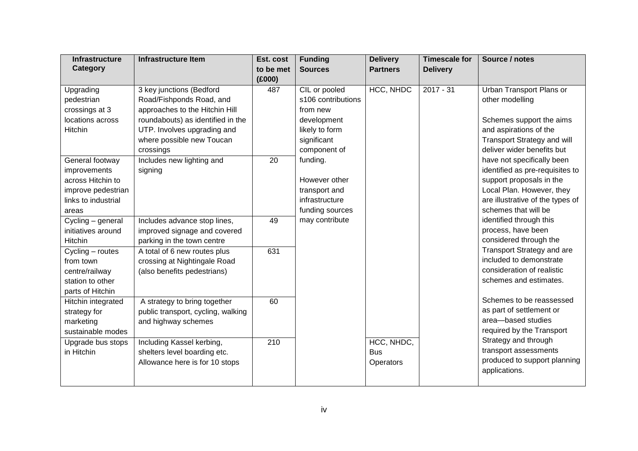| <b>Infrastructure</b> | <b>Infrastructure Item</b>         | Est. cost        | <b>Funding</b>     | <b>Delivery</b> | <b>Timescale for</b> | Source / notes                     |
|-----------------------|------------------------------------|------------------|--------------------|-----------------|----------------------|------------------------------------|
| Category              |                                    | to be met        | <b>Sources</b>     | <b>Partners</b> | <b>Delivery</b>      |                                    |
|                       |                                    | (£000)           |                    |                 |                      |                                    |
| Upgrading             | 3 key junctions (Bedford           | 487              | CIL or pooled      | HCC, NHDC       | $2017 - 31$          | Urban Transport Plans or           |
| pedestrian            | Road/Fishponds Road, and           |                  | s106 contributions |                 |                      | other modelling                    |
| crossings at 3        | approaches to the Hitchin Hill     |                  | from new           |                 |                      |                                    |
| locations across      | roundabouts) as identified in the  |                  | development        |                 |                      | Schemes support the aims           |
| Hitchin               | UTP. Involves upgrading and        |                  | likely to form     |                 |                      | and aspirations of the             |
|                       | where possible new Toucan          |                  | significant        |                 |                      | <b>Transport Strategy and will</b> |
|                       | crossings                          |                  | component of       |                 |                      | deliver wider benefits but         |
| General footway       | Includes new lighting and          | 20               | funding.           |                 |                      | have not specifically been         |
| improvements          | signing                            |                  |                    |                 |                      | identified as pre-requisites to    |
| across Hitchin to     |                                    |                  | However other      |                 |                      | support proposals in the           |
| improve pedestrian    |                                    |                  | transport and      |                 |                      | Local Plan. However, they          |
| links to industrial   |                                    |                  | infrastructure     |                 |                      | are illustrative of the types of   |
| areas                 |                                    |                  | funding sources    |                 |                      | schemes that will be               |
| Cycling - general     | Includes advance stop lines,       | 49               | may contribute     |                 |                      | identified through this            |
| initiatives around    | improved signage and covered       |                  |                    |                 |                      | process, have been                 |
| Hitchin               | parking in the town centre         |                  |                    |                 |                      | considered through the             |
| Cycling - routes      | A total of 6 new routes plus       | 631              |                    |                 |                      | Transport Strategy and are         |
| from town             | crossing at Nightingale Road       |                  |                    |                 |                      | included to demonstrate            |
| centre/railway        | (also benefits pedestrians)        |                  |                    |                 |                      | consideration of realistic         |
| station to other      |                                    |                  |                    |                 |                      | schemes and estimates.             |
| parts of Hitchin      |                                    |                  |                    |                 |                      |                                    |
| Hitchin integrated    | A strategy to bring together       | 60               |                    |                 |                      | Schemes to be reassessed           |
| strategy for          | public transport, cycling, walking |                  |                    |                 |                      | as part of settlement or           |
| marketing             | and highway schemes                |                  |                    |                 |                      | area-based studies                 |
| sustainable modes     |                                    |                  |                    |                 |                      | required by the Transport          |
| Upgrade bus stops     | Including Kassel kerbing,          | $\overline{210}$ |                    | HCC, NHDC,      |                      | Strategy and through               |
| in Hitchin            | shelters level boarding etc.       |                  |                    | <b>Bus</b>      |                      | transport assessments              |
|                       | Allowance here is for 10 stops     |                  |                    | Operators       |                      | produced to support planning       |
|                       |                                    |                  |                    |                 |                      | applications.                      |
|                       |                                    |                  |                    |                 |                      |                                    |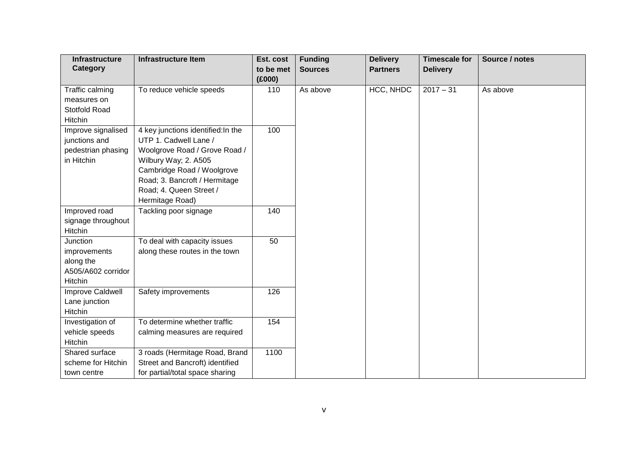| <b>Infrastructure</b> | <b>Infrastructure Item</b>         | Est. cost     | <b>Funding</b> | <b>Delivery</b> | <b>Timescale for</b> | Source / notes |
|-----------------------|------------------------------------|---------------|----------------|-----------------|----------------------|----------------|
| Category              |                                    | to be met     | <b>Sources</b> | <b>Partners</b> | <b>Delivery</b>      |                |
| Traffic calming       | To reduce vehicle speeds           | (E000)<br>110 | As above       | HCC, NHDC       | $2017 - 31$          | As above       |
| measures on           |                                    |               |                |                 |                      |                |
| Stotfold Road         |                                    |               |                |                 |                      |                |
| Hitchin               |                                    |               |                |                 |                      |                |
| Improve signalised    | 4 key junctions identified: In the | 100           |                |                 |                      |                |
| junctions and         | UTP 1. Cadwell Lane /              |               |                |                 |                      |                |
| pedestrian phasing    | Woolgrove Road / Grove Road /      |               |                |                 |                      |                |
| in Hitchin            | Wilbury Way; 2. A505               |               |                |                 |                      |                |
|                       | Cambridge Road / Woolgrove         |               |                |                 |                      |                |
|                       | Road; 3. Bancroft / Hermitage      |               |                |                 |                      |                |
|                       | Road; 4. Queen Street /            |               |                |                 |                      |                |
|                       | Hermitage Road)                    |               |                |                 |                      |                |
| Improved road         | Tackling poor signage              | 140           |                |                 |                      |                |
| signage throughout    |                                    |               |                |                 |                      |                |
| Hitchin               |                                    |               |                |                 |                      |                |
| Junction              | To deal with capacity issues       | 50            |                |                 |                      |                |
| improvements          | along these routes in the town     |               |                |                 |                      |                |
| along the             |                                    |               |                |                 |                      |                |
| A505/A602 corridor    |                                    |               |                |                 |                      |                |
| Hitchin               |                                    |               |                |                 |                      |                |
| Improve Caldwell      | Safety improvements                | 126           |                |                 |                      |                |
| Lane junction         |                                    |               |                |                 |                      |                |
| Hitchin               |                                    |               |                |                 |                      |                |
| Investigation of      | To determine whether traffic       | 154           |                |                 |                      |                |
| vehicle speeds        | calming measures are required      |               |                |                 |                      |                |
| Hitchin               |                                    |               |                |                 |                      |                |
| Shared surface        | 3 roads (Hermitage Road, Brand     | 1100          |                |                 |                      |                |
| scheme for Hitchin    | Street and Bancroft) identified    |               |                |                 |                      |                |
| town centre           | for partial/total space sharing    |               |                |                 |                      |                |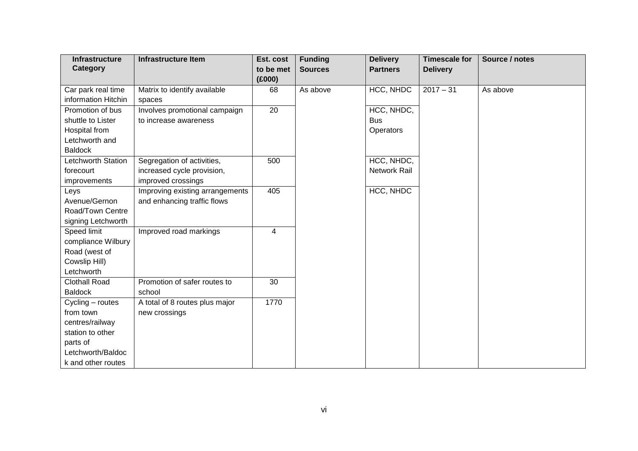| <b>Infrastructure</b><br>Category | <b>Infrastructure Item</b>      | Est. cost<br>to be met | <b>Funding</b><br><b>Sources</b> | <b>Delivery</b><br><b>Partners</b> | <b>Timescale for</b><br><b>Delivery</b> | Source / notes |
|-----------------------------------|---------------------------------|------------------------|----------------------------------|------------------------------------|-----------------------------------------|----------------|
|                                   |                                 | (E000)                 |                                  |                                    |                                         |                |
| Car park real time                | Matrix to identify available    | 68                     | As above                         | HCC, NHDC                          | $2017 - 31$                             | As above       |
| information Hitchin               | spaces                          |                        |                                  |                                    |                                         |                |
| Promotion of bus                  | Involves promotional campaign   | 20                     |                                  | HCC, NHDC,                         |                                         |                |
| shuttle to Lister                 | to increase awareness           |                        |                                  | <b>Bus</b>                         |                                         |                |
| Hospital from                     |                                 |                        |                                  | Operators                          |                                         |                |
| Letchworth and                    |                                 |                        |                                  |                                    |                                         |                |
| <b>Baldock</b>                    |                                 |                        |                                  |                                    |                                         |                |
| Letchworth Station                | Segregation of activities,      | 500                    |                                  | HCC, NHDC,                         |                                         |                |
| forecourt                         | increased cycle provision,      |                        |                                  | <b>Network Rail</b>                |                                         |                |
| improvements                      | improved crossings              |                        |                                  |                                    |                                         |                |
| Leys                              | Improving existing arrangements | 405                    |                                  | HCC, NHDC                          |                                         |                |
| Avenue/Gernon                     | and enhancing traffic flows     |                        |                                  |                                    |                                         |                |
| Road/Town Centre                  |                                 |                        |                                  |                                    |                                         |                |
| signing Letchworth                |                                 |                        |                                  |                                    |                                         |                |
| Speed limit                       | Improved road markings          | 4                      |                                  |                                    |                                         |                |
| compliance Wilbury                |                                 |                        |                                  |                                    |                                         |                |
| Road (west of                     |                                 |                        |                                  |                                    |                                         |                |
| Cowslip Hill)                     |                                 |                        |                                  |                                    |                                         |                |
| Letchworth                        |                                 |                        |                                  |                                    |                                         |                |
| <b>Clothall Road</b>              | Promotion of safer routes to    | 30                     |                                  |                                    |                                         |                |
| <b>Baldock</b>                    | school                          |                        |                                  |                                    |                                         |                |
| Cycling - routes                  | A total of 8 routes plus major  | 1770                   |                                  |                                    |                                         |                |
| from town                         | new crossings                   |                        |                                  |                                    |                                         |                |
| centres/railway                   |                                 |                        |                                  |                                    |                                         |                |
| station to other                  |                                 |                        |                                  |                                    |                                         |                |
| parts of                          |                                 |                        |                                  |                                    |                                         |                |
| Letchworth/Baldoc                 |                                 |                        |                                  |                                    |                                         |                |
| k and other routes                |                                 |                        |                                  |                                    |                                         |                |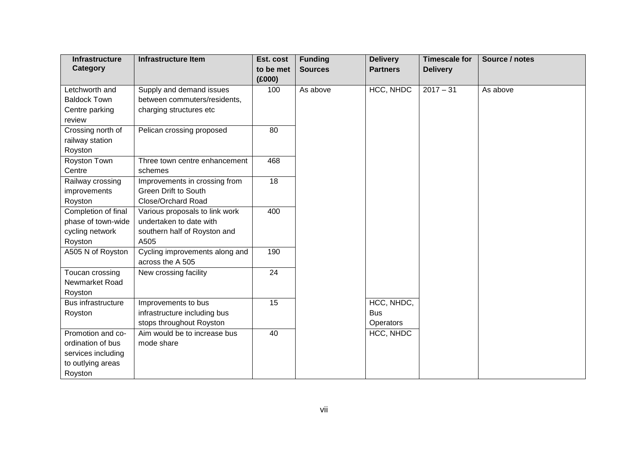| <b>Infrastructure</b> | <b>Infrastructure Item</b>     | Est. cost | <b>Funding</b> | <b>Delivery</b> | <b>Timescale for</b> | Source / notes |
|-----------------------|--------------------------------|-----------|----------------|-----------------|----------------------|----------------|
| Category              |                                | to be met | <b>Sources</b> | <b>Partners</b> | <b>Delivery</b>      |                |
|                       |                                | (E000)    |                |                 |                      |                |
| Letchworth and        | Supply and demand issues       | 100       | As above       | HCC, NHDC       | $2017 - 31$          | As above       |
| <b>Baldock Town</b>   | between commuters/residents,   |           |                |                 |                      |                |
| Centre parking        | charging structures etc        |           |                |                 |                      |                |
| review                |                                |           |                |                 |                      |                |
| Crossing north of     | Pelican crossing proposed      | 80        |                |                 |                      |                |
| railway station       |                                |           |                |                 |                      |                |
| Royston               |                                |           |                |                 |                      |                |
| Royston Town          | Three town centre enhancement  | 468       |                |                 |                      |                |
| Centre                | schemes                        |           |                |                 |                      |                |
| Railway crossing      | Improvements in crossing from  | 18        |                |                 |                      |                |
| improvements          | <b>Green Drift to South</b>    |           |                |                 |                      |                |
| Royston               | Close/Orchard Road             |           |                |                 |                      |                |
| Completion of final   | Various proposals to link work | 400       |                |                 |                      |                |
| phase of town-wide    | undertaken to date with        |           |                |                 |                      |                |
| cycling network       | southern half of Royston and   |           |                |                 |                      |                |
| Royston               | A505                           |           |                |                 |                      |                |
| A505 N of Royston     | Cycling improvements along and | 190       |                |                 |                      |                |
|                       | across the A 505               |           |                |                 |                      |                |
| Toucan crossing       | New crossing facility          | 24        |                |                 |                      |                |
| Newmarket Road        |                                |           |                |                 |                      |                |
| Royston               |                                |           |                |                 |                      |                |
| Bus infrastructure    | Improvements to bus            | 15        |                | HCC, NHDC,      |                      |                |
| Royston               | infrastructure including bus   |           |                | <b>Bus</b>      |                      |                |
|                       | stops throughout Royston       |           |                | Operators       |                      |                |
| Promotion and co-     | Aim would be to increase bus   | 40        |                | HCC, NHDC       |                      |                |
| ordination of bus     | mode share                     |           |                |                 |                      |                |
| services including    |                                |           |                |                 |                      |                |
| to outlying areas     |                                |           |                |                 |                      |                |
| Royston               |                                |           |                |                 |                      |                |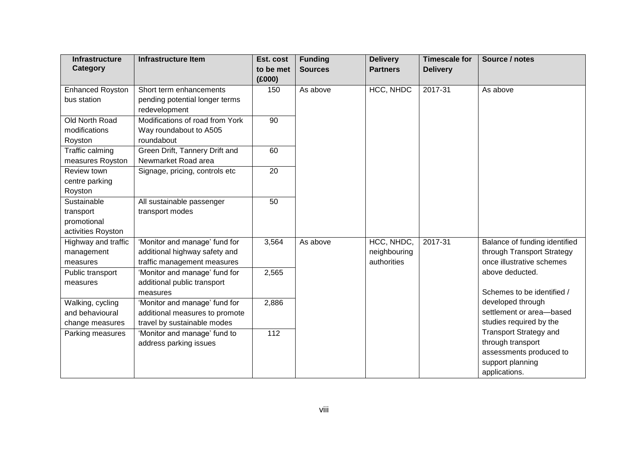| <b>Infrastructure</b>   | <b>Infrastructure Item</b>      | Est. cost | <b>Funding</b> | <b>Delivery</b> | <b>Timescale for</b> | Source / notes                |
|-------------------------|---------------------------------|-----------|----------------|-----------------|----------------------|-------------------------------|
| Category                |                                 | to be met | <b>Sources</b> | <b>Partners</b> | <b>Delivery</b>      |                               |
|                         |                                 | (E000)    |                |                 |                      |                               |
| <b>Enhanced Royston</b> | Short term enhancements         | 150       | As above       | HCC, NHDC       | 2017-31              | As above                      |
| bus station             | pending potential longer terms  |           |                |                 |                      |                               |
|                         | redevelopment                   |           |                |                 |                      |                               |
| Old North Road          | Modifications of road from York | 90        |                |                 |                      |                               |
| modifications           | Way roundabout to A505          |           |                |                 |                      |                               |
| Royston                 | roundabout                      |           |                |                 |                      |                               |
| Traffic calming         | Green Drift, Tannery Drift and  | 60        |                |                 |                      |                               |
| measures Royston        | Newmarket Road area             |           |                |                 |                      |                               |
| Review town             | Signage, pricing, controls etc  | 20        |                |                 |                      |                               |
| centre parking          |                                 |           |                |                 |                      |                               |
| Royston                 |                                 |           |                |                 |                      |                               |
| Sustainable             | All sustainable passenger       | 50        |                |                 |                      |                               |
| transport               | transport modes                 |           |                |                 |                      |                               |
| promotional             |                                 |           |                |                 |                      |                               |
| activities Royston      |                                 |           |                |                 |                      |                               |
| Highway and traffic     | 'Monitor and manage' fund for   | 3,564     | As above       | HCC, NHDC,      | 2017-31              | Balance of funding identified |
| management              | additional highway safety and   |           |                | neighbouring    |                      | through Transport Strategy    |
| measures                | traffic management measures     |           |                | authorities     |                      | once illustrative schemes     |
| Public transport        | 'Monitor and manage' fund for   | 2,565     |                |                 |                      | above deducted.               |
| measures                | additional public transport     |           |                |                 |                      |                               |
|                         | measures                        |           |                |                 |                      | Schemes to be identified /    |
| Walking, cycling        | 'Monitor and manage' fund for   | 2,886     |                |                 |                      | developed through             |
| and behavioural         | additional measures to promote  |           |                |                 |                      | settlement or area-based      |
| change measures         | travel by sustainable modes     |           |                |                 |                      | studies required by the       |
| Parking measures        | 'Monitor and manage' fund to    | 112       |                |                 |                      | <b>Transport Strategy and</b> |
|                         | address parking issues          |           |                |                 |                      | through transport             |
|                         |                                 |           |                |                 |                      | assessments produced to       |
|                         |                                 |           |                |                 |                      | support planning              |
|                         |                                 |           |                |                 |                      | applications.                 |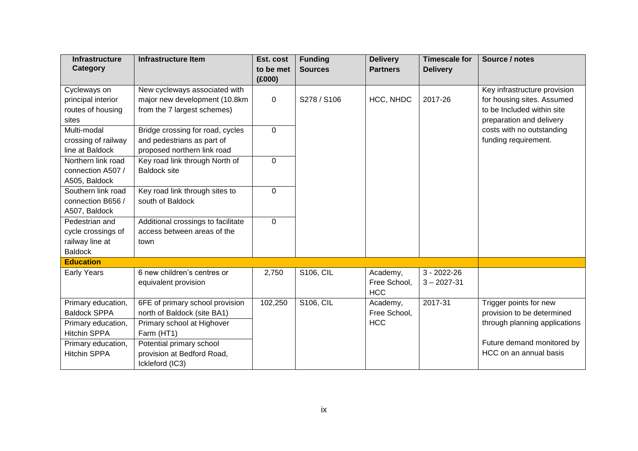| <b>Infrastructure</b><br>Category | <b>Infrastructure Item</b>         | Est. cost<br>to be met | <b>Funding</b><br><b>Sources</b> | <b>Delivery</b><br><b>Partners</b> | <b>Timescale for</b><br><b>Delivery</b> | Source / notes                |
|-----------------------------------|------------------------------------|------------------------|----------------------------------|------------------------------------|-----------------------------------------|-------------------------------|
|                                   |                                    | (E000)                 |                                  |                                    |                                         |                               |
| Cycleways on                      | New cycleways associated with      |                        |                                  |                                    |                                         | Key infrastructure provision  |
| principal interior                | major new development (10.8km      | 0                      | S278 / S106                      | HCC, NHDC                          | 2017-26                                 | for housing sites. Assumed    |
| routes of housing                 | from the 7 largest schemes)        |                        |                                  |                                    |                                         | to be Included within site    |
| sites                             |                                    |                        |                                  |                                    |                                         | preparation and delivery      |
| Multi-modal                       | Bridge crossing for road, cycles   | $\mathbf 0$            |                                  |                                    |                                         | costs with no outstanding     |
| crossing of railway               | and pedestrians as part of         |                        |                                  |                                    |                                         | funding requirement.          |
| line at Baldock                   | proposed northern link road        |                        |                                  |                                    |                                         |                               |
| Northern link road                | Key road link through North of     | 0                      |                                  |                                    |                                         |                               |
| connection A507 /                 | <b>Baldock site</b>                |                        |                                  |                                    |                                         |                               |
| A505, Baldock                     |                                    |                        |                                  |                                    |                                         |                               |
| Southern link road                | Key road link through sites to     | $\Omega$               |                                  |                                    |                                         |                               |
| connection B656 /                 | south of Baldock                   |                        |                                  |                                    |                                         |                               |
| A507, Baldock                     |                                    |                        |                                  |                                    |                                         |                               |
| Pedestrian and                    | Additional crossings to facilitate | 0                      |                                  |                                    |                                         |                               |
| cycle crossings of                | access between areas of the        |                        |                                  |                                    |                                         |                               |
| railway line at                   | town                               |                        |                                  |                                    |                                         |                               |
| <b>Baldock</b>                    |                                    |                        |                                  |                                    |                                         |                               |
| <b>Education</b>                  |                                    |                        |                                  |                                    |                                         |                               |
| <b>Early Years</b>                | 6 new children's centres or        | 2,750                  | <b>S106, CIL</b>                 | Academy,                           | $3 - 2022 - 26$                         |                               |
|                                   | equivalent provision               |                        |                                  | Free School,                       | $3 - 2027 - 31$                         |                               |
|                                   |                                    |                        |                                  | <b>HCC</b>                         |                                         |                               |
| Primary education,                | 6FE of primary school provision    | 102,250                | <b>S106, CIL</b>                 | Academy,                           | 2017-31                                 | Trigger points for new        |
| <b>Baldock SPPA</b>               | north of Baldock (site BA1)        |                        |                                  | Free School,                       |                                         | provision to be determined    |
| Primary education,                | Primary school at Highover         |                        |                                  | <b>HCC</b>                         |                                         | through planning applications |
| <b>Hitchin SPPA</b>               | Farm (HT1)                         |                        |                                  |                                    |                                         |                               |
| Primary education,                | Potential primary school           |                        |                                  |                                    |                                         | Future demand monitored by    |
| <b>Hitchin SPPA</b>               | provision at Bedford Road,         |                        |                                  |                                    |                                         | HCC on an annual basis        |
|                                   | Ickleford (IC3)                    |                        |                                  |                                    |                                         |                               |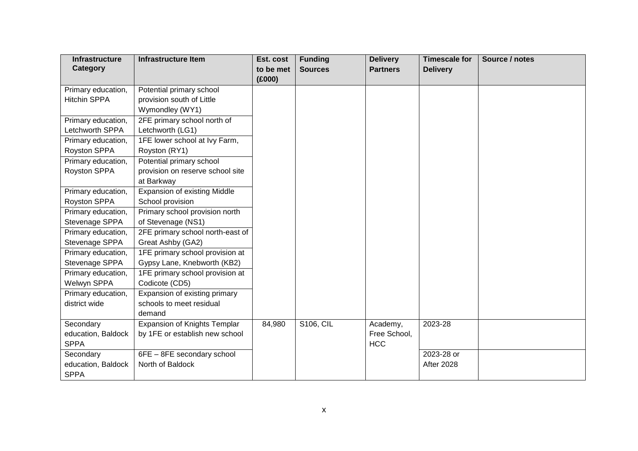| <b>Infrastructure</b> | <b>Infrastructure Item</b>          | Est. cost | <b>Funding</b>   | <b>Delivery</b> | <b>Timescale for</b> | Source / notes |
|-----------------------|-------------------------------------|-----------|------------------|-----------------|----------------------|----------------|
| Category              |                                     | to be met | <b>Sources</b>   | <b>Partners</b> | <b>Delivery</b>      |                |
|                       |                                     | (E000)    |                  |                 |                      |                |
| Primary education,    | Potential primary school            |           |                  |                 |                      |                |
| <b>Hitchin SPPA</b>   | provision south of Little           |           |                  |                 |                      |                |
|                       | Wymondley (WY1)                     |           |                  |                 |                      |                |
| Primary education,    | 2FE primary school north of         |           |                  |                 |                      |                |
| Letchworth SPPA       | Letchworth (LG1)                    |           |                  |                 |                      |                |
| Primary education,    | 1FE lower school at Ivy Farm,       |           |                  |                 |                      |                |
| Royston SPPA          | Royston (RY1)                       |           |                  |                 |                      |                |
| Primary education,    | Potential primary school            |           |                  |                 |                      |                |
| Royston SPPA          | provision on reserve school site    |           |                  |                 |                      |                |
|                       | at Barkway                          |           |                  |                 |                      |                |
| Primary education,    | <b>Expansion of existing Middle</b> |           |                  |                 |                      |                |
| Royston SPPA          | School provision                    |           |                  |                 |                      |                |
| Primary education,    | Primary school provision north      |           |                  |                 |                      |                |
| Stevenage SPPA        | of Stevenage (NS1)                  |           |                  |                 |                      |                |
| Primary education,    | 2FE primary school north-east of    |           |                  |                 |                      |                |
| Stevenage SPPA        | Great Ashby (GA2)                   |           |                  |                 |                      |                |
| Primary education,    | 1FE primary school provision at     |           |                  |                 |                      |                |
| Stevenage SPPA        | Gypsy Lane, Knebworth (KB2)         |           |                  |                 |                      |                |
| Primary education,    | 1FE primary school provision at     |           |                  |                 |                      |                |
| Welwyn SPPA           | Codicote (CD5)                      |           |                  |                 |                      |                |
| Primary education,    | Expansion of existing primary       |           |                  |                 |                      |                |
| district wide         | schools to meet residual            |           |                  |                 |                      |                |
|                       | demand                              |           |                  |                 |                      |                |
| Secondary             | Expansion of Knights Templar        | 84,980    | <b>S106, CIL</b> | Academy,        | 2023-28              |                |
| education, Baldock    | by 1FE or establish new school      |           |                  | Free School,    |                      |                |
| <b>SPPA</b>           |                                     |           |                  | <b>HCC</b>      |                      |                |
| Secondary             | 6FE - 8FE secondary school          |           |                  |                 | 2023-28 or           |                |
| education, Baldock    | North of Baldock                    |           |                  |                 | <b>After 2028</b>    |                |
| <b>SPPA</b>           |                                     |           |                  |                 |                      |                |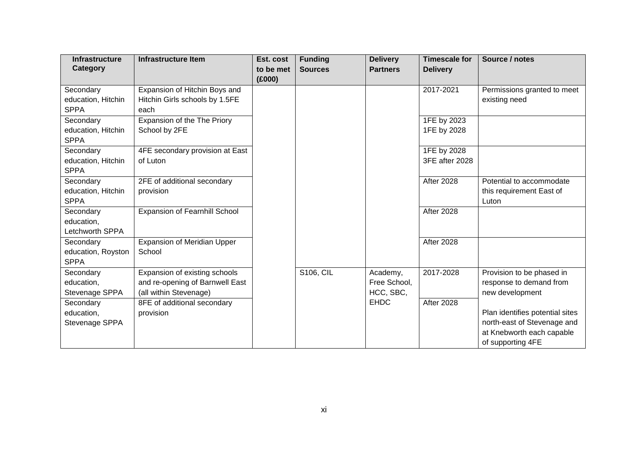| <b>Infrastructure</b> | <b>Infrastructure Item</b>           | Est. cost | <b>Funding</b>   | <b>Delivery</b> | <b>Timescale for</b> | Source / notes                  |
|-----------------------|--------------------------------------|-----------|------------------|-----------------|----------------------|---------------------------------|
| Category              |                                      | to be met | <b>Sources</b>   | <b>Partners</b> | <b>Delivery</b>      |                                 |
|                       |                                      | (E000)    |                  |                 |                      |                                 |
| Secondary             | Expansion of Hitchin Boys and        |           |                  |                 | 2017-2021            | Permissions granted to meet     |
| education, Hitchin    | Hitchin Girls schools by 1.5FE       |           |                  |                 |                      | existing need                   |
| <b>SPPA</b>           | each                                 |           |                  |                 |                      |                                 |
| Secondary             | Expansion of the The Priory          |           |                  |                 | 1FE by 2023          |                                 |
| education, Hitchin    | School by 2FE                        |           |                  |                 | 1FE by 2028          |                                 |
| <b>SPPA</b>           |                                      |           |                  |                 |                      |                                 |
| Secondary             | 4FE secondary provision at East      |           |                  |                 | 1FE by 2028          |                                 |
| education, Hitchin    | of Luton                             |           |                  |                 | 3FE after 2028       |                                 |
| <b>SPPA</b>           |                                      |           |                  |                 |                      |                                 |
| Secondary             | 2FE of additional secondary          |           |                  |                 | <b>After 2028</b>    | Potential to accommodate        |
| education, Hitchin    | provision                            |           |                  |                 |                      | this requirement East of        |
| <b>SPPA</b>           |                                      |           |                  |                 |                      | Luton                           |
| Secondary             | <b>Expansion of Fearnhill School</b> |           |                  |                 | <b>After 2028</b>    |                                 |
| education,            |                                      |           |                  |                 |                      |                                 |
| Letchworth SPPA       |                                      |           |                  |                 |                      |                                 |
| Secondary             | Expansion of Meridian Upper          |           |                  |                 | <b>After 2028</b>    |                                 |
| education, Royston    | School                               |           |                  |                 |                      |                                 |
| <b>SPPA</b>           |                                      |           |                  |                 |                      |                                 |
| Secondary             | Expansion of existing schools        |           | <b>S106, CIL</b> | Academy,        | 2017-2028            | Provision to be phased in       |
| education,            | and re-opening of Barnwell East      |           |                  | Free School,    |                      | response to demand from         |
| Stevenage SPPA        | (all within Stevenage)               |           |                  | HCC, SBC,       |                      | new development                 |
| Secondary             | 8FE of additional secondary          |           |                  | <b>EHDC</b>     | <b>After 2028</b>    |                                 |
| education,            | provision                            |           |                  |                 |                      | Plan identifies potential sites |
| Stevenage SPPA        |                                      |           |                  |                 |                      | north-east of Stevenage and     |
|                       |                                      |           |                  |                 |                      | at Knebworth each capable       |
|                       |                                      |           |                  |                 |                      | of supporting 4FE               |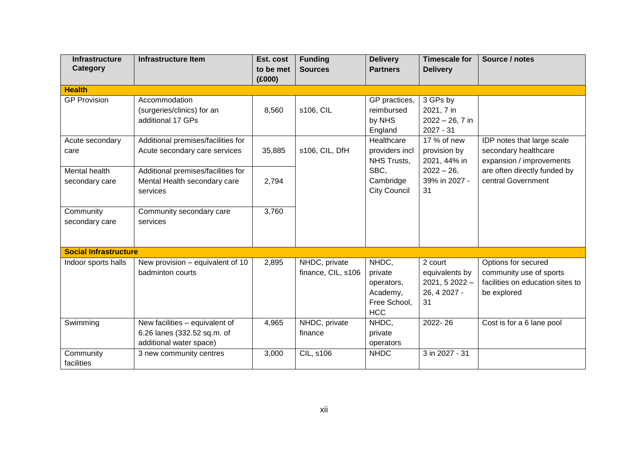| <b>Infrastructure</b>        | <b>Infrastructure Item</b>         | Est. cost | <b>Funding</b>     | <b>Delivery</b>               | <b>Timescale for</b>         | Source / notes                                   |
|------------------------------|------------------------------------|-----------|--------------------|-------------------------------|------------------------------|--------------------------------------------------|
| Category                     |                                    | to be met | <b>Sources</b>     | <b>Partners</b>               | <b>Delivery</b>              |                                                  |
|                              |                                    | (E000)    |                    |                               |                              |                                                  |
| <b>Health</b>                |                                    |           |                    |                               |                              |                                                  |
| <b>GP Provision</b>          | Accommodation                      |           |                    | GP practices,                 | 3 GPs by                     |                                                  |
|                              | (surgeries/clinics) for an         | 8,560     | s106, CIL          | reimbursed                    | 2021, 7 in                   |                                                  |
|                              | additional 17 GPs                  |           |                    | by NHS                        | $2022 - 26, 7$ in            |                                                  |
|                              |                                    |           |                    | England                       | $2027 - 31$                  |                                                  |
| Acute secondary              | Additional premises/facilities for |           |                    | Healthcare                    | 17 % of new                  | IDP notes that large scale                       |
| care                         | Acute secondary care services      | 35,885    | s106, CIL, DfH     | providers incl<br>NHS Trusts, | provision by<br>2021, 44% in | secondary healthcare<br>expansion / improvements |
| Mental health                | Additional premises/facilities for |           |                    | SBC,                          | $2022 - 26$                  | are often directly funded by                     |
| secondary care               | Mental Health secondary care       | 2,794     |                    | Cambridge                     | 39% in 2027 -                | central Government                               |
|                              | services                           |           |                    | <b>City Council</b>           | 31                           |                                                  |
|                              |                                    |           |                    |                               |                              |                                                  |
| Community                    | Community secondary care           | 3,760     |                    |                               |                              |                                                  |
| secondary care               | services                           |           |                    |                               |                              |                                                  |
|                              |                                    |           |                    |                               |                              |                                                  |
|                              |                                    |           |                    |                               |                              |                                                  |
| <b>Social Infrastructure</b> |                                    |           |                    |                               |                              |                                                  |
| Indoor sports halls          | New provision - equivalent of 10   | 2,895     | NHDC, private      | NHDC,                         | 2 court                      | Options for secured                              |
|                              | badminton courts                   |           | finance, CIL, s106 | private                       | equivalents by               | community use of sports                          |
|                              |                                    |           |                    | operators,                    | $2021, 52022 -$              | facilities on education sites to                 |
|                              |                                    |           |                    | Academy,                      | 26, 4 2027 -                 | be explored                                      |
|                              |                                    |           |                    | Free School,                  | 31                           |                                                  |
|                              |                                    |           |                    | <b>HCC</b>                    |                              |                                                  |
| Swimming                     | New facilities - equivalent of     | 4,965     | NHDC, private      | NHDC,                         | 2022-26                      | Cost is for a 6 lane pool                        |
|                              | 6.26 lanes (332.52 sq.m. of        |           | finance            | private                       |                              |                                                  |
|                              | additional water space)            |           |                    | operators                     |                              |                                                  |
| Community                    | 3 new community centres            | 3,000     | <b>CIL, s106</b>   | <b>NHDC</b>                   | 3 in 2027 - 31               |                                                  |
| facilities                   |                                    |           |                    |                               |                              |                                                  |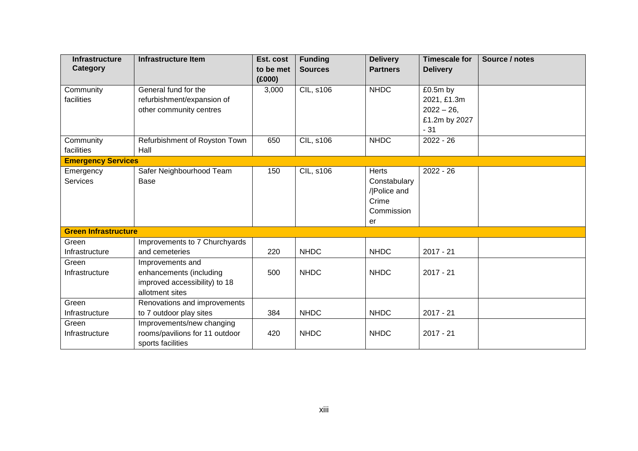| <b>Infrastructure</b>       | <b>Infrastructure Item</b>     | Est. cost | <b>Funding</b>   | <b>Delivery</b> | <b>Timescale for</b> | Source / notes |
|-----------------------------|--------------------------------|-----------|------------------|-----------------|----------------------|----------------|
| Category                    |                                | to be met | <b>Sources</b>   | <b>Partners</b> | <b>Delivery</b>      |                |
|                             |                                | (E000)    |                  |                 |                      |                |
| Community                   | General fund for the           | 3,000     | <b>CIL, s106</b> | <b>NHDC</b>     | £0.5m by             |                |
| facilities                  | refurbishment/expansion of     |           |                  |                 | 2021, £1.3m          |                |
|                             | other community centres        |           |                  |                 | $2022 - 26$ ,        |                |
|                             |                                |           |                  |                 | £1.2m by 2027        |                |
|                             |                                |           |                  |                 | $-31$                |                |
| Community                   | Refurbishment of Royston Town  | 650       | <b>CIL, s106</b> | <b>NHDC</b>     | $2022 - 26$          |                |
| facilities                  | Hall                           |           |                  |                 |                      |                |
| <b>Emergency Services</b>   |                                |           |                  |                 |                      |                |
| Emergency                   | Safer Neighbourhood Team       | 150       | <b>CIL, s106</b> | <b>Herts</b>    | $2022 - 26$          |                |
| <b>Services</b>             | Base                           |           |                  | Constabulary    |                      |                |
|                             |                                |           |                  | / Police and    |                      |                |
|                             |                                |           |                  | Crime           |                      |                |
|                             |                                |           |                  | Commission      |                      |                |
|                             |                                |           |                  | er              |                      |                |
| <b>Green Infrastructure</b> |                                |           |                  |                 |                      |                |
| Green                       | Improvements to 7 Churchyards  |           |                  |                 |                      |                |
| Infrastructure              | and cemeteries                 | 220       | <b>NHDC</b>      | <b>NHDC</b>     | $2017 - 21$          |                |
| Green                       | Improvements and               |           |                  |                 |                      |                |
| Infrastructure              | enhancements (including        | 500       | <b>NHDC</b>      | <b>NHDC</b>     | $2017 - 21$          |                |
|                             | improved accessibility) to 18  |           |                  |                 |                      |                |
|                             | allotment sites                |           |                  |                 |                      |                |
| Green                       | Renovations and improvements   |           |                  |                 |                      |                |
| Infrastructure              | to 7 outdoor play sites        | 384       | <b>NHDC</b>      | <b>NHDC</b>     | $2017 - 21$          |                |
| Green                       | Improvements/new changing      |           |                  |                 |                      |                |
| Infrastructure              | rooms/pavilions for 11 outdoor | 420       | <b>NHDC</b>      | <b>NHDC</b>     | $2017 - 21$          |                |
|                             | sports facilities              |           |                  |                 |                      |                |